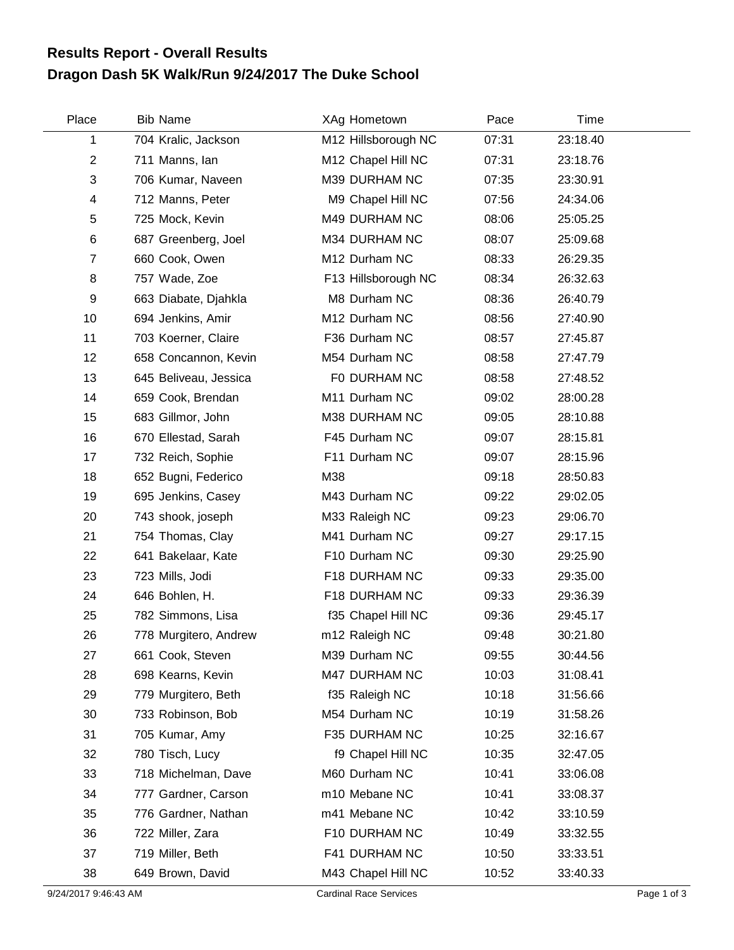## **Dragon Dash 5K Walk/Run 9/24/2017 The Duke School Results Report - Overall Results**

| Place          | <b>Bib Name</b>       | XAg Hometown        | Pace  | Time     |  |
|----------------|-----------------------|---------------------|-------|----------|--|
| 1              | 704 Kralic, Jackson   | M12 Hillsborough NC | 07:31 | 23:18.40 |  |
| $\overline{c}$ | 711 Manns, Ian        | M12 Chapel Hill NC  | 07:31 | 23:18.76 |  |
| 3              | 706 Kumar, Naveen     | M39 DURHAM NC       | 07:35 | 23:30.91 |  |
| 4              | 712 Manns, Peter      | M9 Chapel Hill NC   | 07:56 | 24:34.06 |  |
| 5              | 725 Mock, Kevin       | M49 DURHAM NC       | 08:06 | 25:05.25 |  |
| 6              | 687 Greenberg, Joel   | M34 DURHAM NC       | 08:07 | 25:09.68 |  |
| 7              | 660 Cook, Owen        | M12 Durham NC       | 08:33 | 26:29.35 |  |
| 8              | 757 Wade, Zoe         | F13 Hillsborough NC | 08:34 | 26:32.63 |  |
| 9              | 663 Diabate, Djahkla  | M8 Durham NC        | 08:36 | 26:40.79 |  |
| 10             | 694 Jenkins, Amir     | M12 Durham NC       | 08:56 | 27:40.90 |  |
| 11             | 703 Koerner, Claire   | F36 Durham NC       | 08:57 | 27:45.87 |  |
| 12             | 658 Concannon, Kevin  | M54 Durham NC       | 08:58 | 27:47.79 |  |
| 13             | 645 Beliveau, Jessica | F0 DURHAM NC        | 08:58 | 27:48.52 |  |
| 14             | 659 Cook, Brendan     | M11 Durham NC       | 09:02 | 28:00.28 |  |
| 15             | 683 Gillmor, John     | M38 DURHAM NC       | 09:05 | 28:10.88 |  |
| 16             | 670 Ellestad, Sarah   | F45 Durham NC       | 09:07 | 28:15.81 |  |
| 17             | 732 Reich, Sophie     | F11 Durham NC       | 09:07 | 28:15.96 |  |
| 18             | 652 Bugni, Federico   | M38                 | 09:18 | 28:50.83 |  |
| 19             | 695 Jenkins, Casey    | M43 Durham NC       | 09:22 | 29:02.05 |  |
| 20             | 743 shook, joseph     | M33 Raleigh NC      | 09:23 | 29:06.70 |  |
| 21             | 754 Thomas, Clay      | M41 Durham NC       | 09:27 | 29:17.15 |  |
| 22             | 641 Bakelaar, Kate    | F10 Durham NC       | 09:30 | 29:25.90 |  |
| 23             | 723 Mills, Jodi       | F18 DURHAM NC       | 09:33 | 29:35.00 |  |
| 24             | 646 Bohlen, H.        | F18 DURHAM NC       | 09:33 | 29:36.39 |  |
| 25             | 782 Simmons, Lisa     | f35 Chapel Hill NC  | 09:36 | 29:45.17 |  |
| 26             | 778 Murgitero, Andrew | m12 Raleigh NC      | 09:48 | 30:21.80 |  |
| 27             | 661 Cook, Steven      | M39 Durham NC       | 09:55 | 30:44.56 |  |
| 28             | 698 Kearns, Kevin     | M47 DURHAM NC       | 10:03 | 31:08.41 |  |
| 29             | 779 Murgitero, Beth   | f35 Raleigh NC      | 10:18 | 31:56.66 |  |
| 30             | 733 Robinson, Bob     | M54 Durham NC       | 10:19 | 31:58.26 |  |
| 31             | 705 Kumar, Amy        | F35 DURHAM NC       | 10:25 | 32:16.67 |  |
| 32             | 780 Tisch, Lucy       | f9 Chapel Hill NC   | 10:35 | 32:47.05 |  |
| 33             | 718 Michelman, Dave   | M60 Durham NC       | 10:41 | 33:06.08 |  |
| 34             | 777 Gardner, Carson   | m10 Mebane NC       | 10:41 | 33:08.37 |  |
| 35             | 776 Gardner, Nathan   | m41 Mebane NC       | 10:42 | 33:10.59 |  |
| 36             | 722 Miller, Zara      | F10 DURHAM NC       | 10:49 | 33:32.55 |  |
| 37             | 719 Miller, Beth      | F41 DURHAM NC       | 10:50 | 33:33.51 |  |
| 38             | 649 Brown, David      | M43 Chapel Hill NC  | 10:52 | 33:40.33 |  |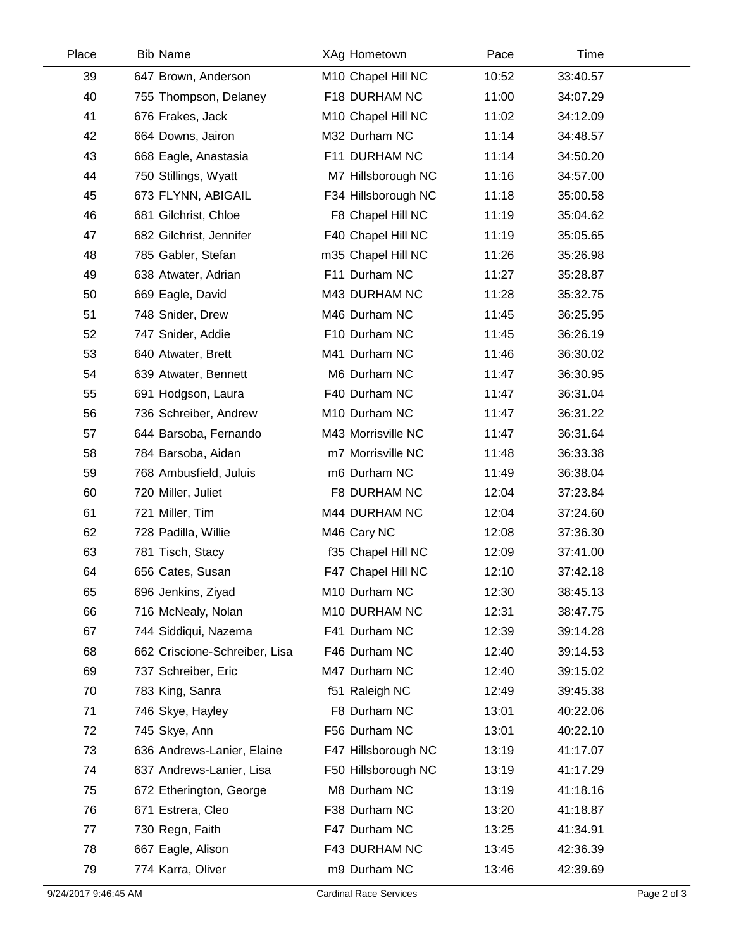| Place | <b>Bib Name</b>               | XAg Hometown        | Pace  | Time     |
|-------|-------------------------------|---------------------|-------|----------|
| 39    | 647 Brown, Anderson           | M10 Chapel Hill NC  | 10:52 | 33:40.57 |
| 40    | 755 Thompson, Delaney         | F18 DURHAM NC       | 11:00 | 34:07.29 |
| 41    | 676 Frakes, Jack              | M10 Chapel Hill NC  | 11:02 | 34:12.09 |
| 42    | 664 Downs, Jairon             | M32 Durham NC       | 11:14 | 34:48.57 |
| 43    | 668 Eagle, Anastasia          | F11 DURHAM NC       | 11:14 | 34:50.20 |
| 44    | 750 Stillings, Wyatt          | M7 Hillsborough NC  | 11:16 | 34:57.00 |
| 45    | 673 FLYNN, ABIGAIL            | F34 Hillsborough NC | 11:18 | 35:00.58 |
| 46    | 681 Gilchrist, Chloe          | F8 Chapel Hill NC   | 11:19 | 35:04.62 |
| 47    | 682 Gilchrist, Jennifer       | F40 Chapel Hill NC  | 11:19 | 35:05.65 |
| 48    | 785 Gabler, Stefan            | m35 Chapel Hill NC  | 11:26 | 35:26.98 |
| 49    | 638 Atwater, Adrian           | F11 Durham NC       | 11:27 | 35:28.87 |
| 50    | 669 Eagle, David              | M43 DURHAM NC       | 11:28 | 35:32.75 |
| 51    | 748 Snider, Drew              | M46 Durham NC       | 11:45 | 36:25.95 |
| 52    | 747 Snider, Addie             | F10 Durham NC       | 11:45 | 36:26.19 |
| 53    | 640 Atwater, Brett            | M41 Durham NC       | 11:46 | 36:30.02 |
| 54    | 639 Atwater, Bennett          | M6 Durham NC        | 11:47 | 36:30.95 |
| 55    | 691 Hodgson, Laura            | F40 Durham NC       | 11:47 | 36:31.04 |
| 56    | 736 Schreiber, Andrew         | M10 Durham NC       | 11:47 | 36:31.22 |
| 57    | 644 Barsoba, Fernando         | M43 Morrisville NC  | 11:47 | 36:31.64 |
| 58    | 784 Barsoba, Aidan            | m7 Morrisville NC   | 11:48 | 36:33.38 |
| 59    | 768 Ambusfield, Juluis        | m6 Durham NC        | 11:49 | 36:38.04 |
| 60    | 720 Miller, Juliet            | F8 DURHAM NC        | 12:04 | 37:23.84 |
| 61    | 721 Miller, Tim               | M44 DURHAM NC       | 12:04 | 37:24.60 |
| 62    | 728 Padilla, Willie           | M46 Cary NC         | 12:08 | 37:36.30 |
| 63    | 781 Tisch, Stacy              | f35 Chapel Hill NC  | 12:09 | 37:41.00 |
| 64    | 656 Cates, Susan              | F47 Chapel Hill NC  | 12:10 | 37:42.18 |
| 65    | 696 Jenkins, Ziyad            | M10 Durham NC       | 12:30 | 38:45.13 |
| 66    | 716 McNealy, Nolan            | M10 DURHAM NC       | 12:31 | 38:47.75 |
| 67    | 744 Siddiqui, Nazema          | F41 Durham NC       | 12:39 | 39:14.28 |
| 68    | 662 Criscione-Schreiber, Lisa | F46 Durham NC       | 12:40 | 39:14.53 |
| 69    | 737 Schreiber, Eric           | M47 Durham NC       | 12:40 | 39:15.02 |
| 70    | 783 King, Sanra               | f51 Raleigh NC      | 12:49 | 39:45.38 |
| 71    | 746 Skye, Hayley              | F8 Durham NC        | 13:01 | 40:22.06 |
| 72    | 745 Skye, Ann                 | F56 Durham NC       | 13:01 | 40:22.10 |
| 73    | 636 Andrews-Lanier, Elaine    | F47 Hillsborough NC | 13:19 | 41:17.07 |
| 74    | 637 Andrews-Lanier, Lisa      | F50 Hillsborough NC | 13:19 | 41:17.29 |
| 75    | 672 Etherington, George       | M8 Durham NC        | 13:19 | 41:18.16 |
| 76    | 671 Estrera, Cleo             | F38 Durham NC       | 13:20 | 41:18.87 |
| 77    | 730 Regn, Faith               | F47 Durham NC       | 13:25 | 41:34.91 |
| 78    | 667 Eagle, Alison             | F43 DURHAM NC       | 13:45 | 42:36.39 |
| 79    | 774 Karra, Oliver             | m9 Durham NC        | 13:46 | 42:39.69 |